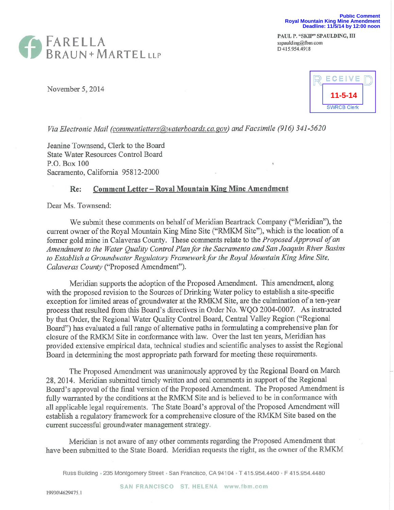



November 5, 2014



*Via Electronic Mail (commentletters@waterboards.ca.gov)* and *Facsimile (916) 341-5620* 

Jeanine Townsend, Clerk to the Board State Water Resources Control Board P.O. Box 100 Sacramento, California 95812-2000

## **Re:** Comment Letter – Royal Mountain King Mine Amendment

Dear Ms. Townsend:

We submit these comments on behalf of Meridian Beartrack Company ("Meridian"), the current owner of the Royal Mountain King Mine Site ("RMKM Site"), which is the location of a former gold mine in Calaveras County. These comments relate to the *Proposed Approval of an Amendment to the Water Quality Control Plan for the Sacramento and San Joaquin River Basins to Establish a Groundwater Regulatory Framework for the Royal Mountain King Mine Site, Calaveras County* ("Proposed Amendment").

Meridian supports the adoption of the Proposed Amendment. This amendment, along with the proposed revision to the Sources of Drinking Water policy to establish a site-specific exception for limited areas of groundwater at the RMKM Site, are the culmination of a ten-year process that resulted from this Board's directives in Order No. WQO 2004-0007. As instructed by that Order, the Regional Water Quality Control Board, Central Valley Region ("Regional Board") has evaluated a full range of alternative paths in formulating a comprehensive plan for closure of the RMKM Site in conformance with law. Over the last ten years, Meridian has provided extensive empirical data, technical studies and scientific analyses to assist the Regional Board in determining the most appropriate path forward for meeting these requirements.

The Proposed Amendment was unanimously approved by the Regional Board on March 28, 2014. Meridian submitted timely written and oral comments in support of the Regional Board's approval of the final version of the Proposed Amendment. The Proposed Amendment is fully warranted by the conditions at the RMKM Site and is believed to be in conformance with all applicable legal requirements. The State Board's approval of the Proposed Amendment will establish a regulatory framework for a comprehensive closure of the RMKM Site based on the current successful groundwater management strategy.

Meridian is not aware of any other comments regarding the Proposed Amendment that have been submitted to the State Board. Meridian requests the right, as the owner of the RMKM

Russ Building . 235 Montgomery Street · San Francisco, CA 94104 · T 415.954.4400 · F 415.954.4480